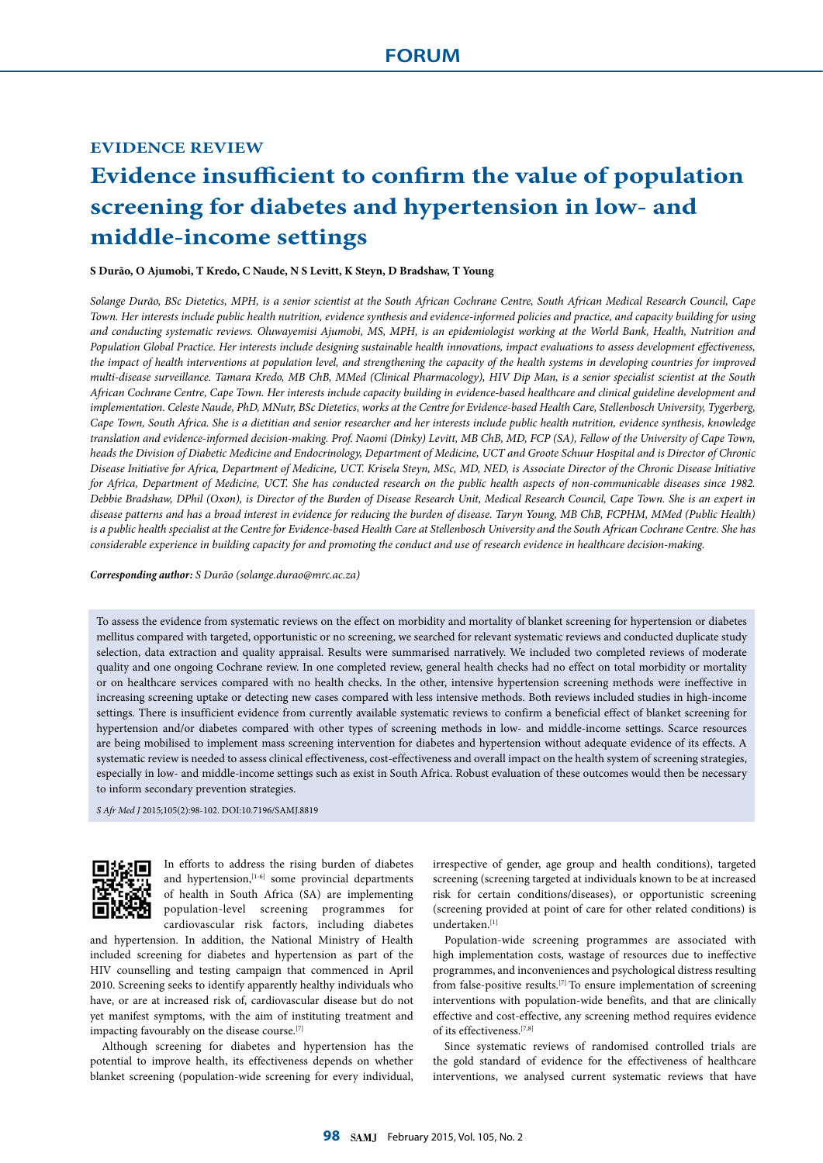# **EVIDENCE REVIEW**

# **Evidence insufficient to confirm the value of population screening for diabetes and hypertension in low- and middle-income settings**

## **S Durão, O Ajumobi, T Kredo, C Naude, N S Levitt, K Steyn, D Bradshaw, T Young**

*Solange Durão, BSc Dietetics, MPH, is a senior scientist at the South African Cochrane Centre, South African Medical Research Council, Cape Town. Her interests include public health nutrition, evidence synthesis and evidence-informed policies and practice, and capacity building for using and conducting systematic reviews. Oluwayemisi Ajumobi, MS, MPH, is an epidemiologist working at the World Bank, Health, Nutrition and Population Global Practice. Her interests include designing sustainable health innovations, impact evaluations to assess development effectiveness, the impact of health interventions at population level, and strengthening the capacity of the health systems in developing countries for improved multi-disease surveillance. Tamara Kredo, MB ChB, MMed (Clinical Pharmacology), HIV Dip Man, is a senior specialist scientist at the South African Cochrane Centre, Cape Town. Her interests include capacity building in evidence-based healthcare and clinical guideline development and implementation. Celeste Naude, PhD, MNutr, BSc Dietetics, works at the Centre for Evidence-based Health Care, Stellenbosch University, Tygerberg, Cape Town, South Africa. She is a dietitian and senior researcher and her interests include public health nutrition, evidence synthesis, knowledge translation and evidence-informed decision-making. Prof. Naomi (Dinky) Levitt, MB ChB, MD, FCP (SA), Fellow of the University of Cape Town, heads the Division of Diabetic Medicine and Endocrinology, Department of Medicine, UCT and Groote Schuur Hospital and is Director of Chronic Disease Initiative for Africa, Department of Medicine, UCT. Krisela Steyn, MSc, MD, NED, is Associate Director of the Chronic Disease Initiative for Africa, Department of Medicine, UCT. She has conducted research on the public health aspects of non-communicable diseases since 1982. Debbie Bradshaw, DPhil (Oxon), is Director of the Burden of Disease Research Unit, Medical Research Council, Cape Town. She is an expert in disease patterns and has a broad interest in evidence for reducing the burden of disease. Taryn Young, MB ChB, FCPHM, MMed (Public Health) is a public health specialist at the Centre for Evidence-based Health Care at Stellenbosch University and the South African Cochrane Centre. She has considerable experience in building capacity for and promoting the conduct and use of research evidence in healthcare decision-making.*

*Corresponding author: S Durão (solange.durao@mrc.ac.za)*

To assess the evidence from systematic reviews on the effect on morbidity and mortality of blanket screening for hypertension or diabetes mellitus compared with targeted, opportunistic or no screening, we searched for relevant systematic reviews and conducted duplicate study selection, data extraction and quality appraisal. Results were summarised narratively. We included two completed reviews of moderate quality and one ongoing Cochrane review. In one completed review, general health checks had no effect on total morbidity or mortality or on healthcare services compared with no health checks. In the other, intensive hypertension screening methods were ineffective in increasing screening uptake or detecting new cases compared with less intensive methods. Both reviews included studies in high-income settings. There is insufficient evidence from currently available systematic reviews to confirm a beneficial effect of blanket screening for hypertension and/or diabetes compared with other types of screening methods in low- and middle-income settings. Scarce resources are being mobilised to implement mass screening intervention for diabetes and hypertension without adequate evidence of its effects. A systematic review is needed to assess clinical effectiveness, cost-effectiveness and overall impact on the health system of screening strategies, especially in low- and middle-income settings such as exist in South Africa. Robust evaluation of these outcomes would then be necessary to inform secondary prevention strategies.

*S Afr Med J* 2015;105(2):98-102. DOI:10.7196/SAMJ.8819



In efforts to address the rising burden of diabetes and hypertension, <a>[1-6]</a> some provincial departments of health in South Africa (SA) are implementing population-level screening programmes for cardiovascular risk factors, including diabetes

and hypertension. In addition, the National Ministry of Health included screening for diabetes and hypertension as part of the HIV counselling and testing campaign that commenced in April 2010. Screening seeks to identify apparently healthy individuals who have, or are at increased risk of, cardiovascular disease but do not yet manifest symptoms, with the aim of instituting treatment and impacting favourably on the disease course.<sup>[7]</sup>

Although screening for diabetes and hypertension has the potential to improve health, its effectiveness depends on whether blanket screening (population-wide screening for every individual,

irrespective of gender, age group and health conditions), targeted screening (screening targeted at individuals known to be at increased risk for certain conditions/diseases), or opportunistic screening (screening provided at point of care for other related conditions) is undertaken.[1]

Population-wide screening programmes are associated with high implementation costs, wastage of resources due to ineffective programmes, and inconveniences and psychological distress resulting from false-positive results.[7] To ensure implementation of screening interventions with population-wide benefits, and that are clinically effective and cost-effective, any screening method requires evidence of its effectiveness.[7,8]

Since systematic reviews of randomised controlled trials are the gold standard of evidence for the effectiveness of healthcare interventions, we analysed current systematic reviews that have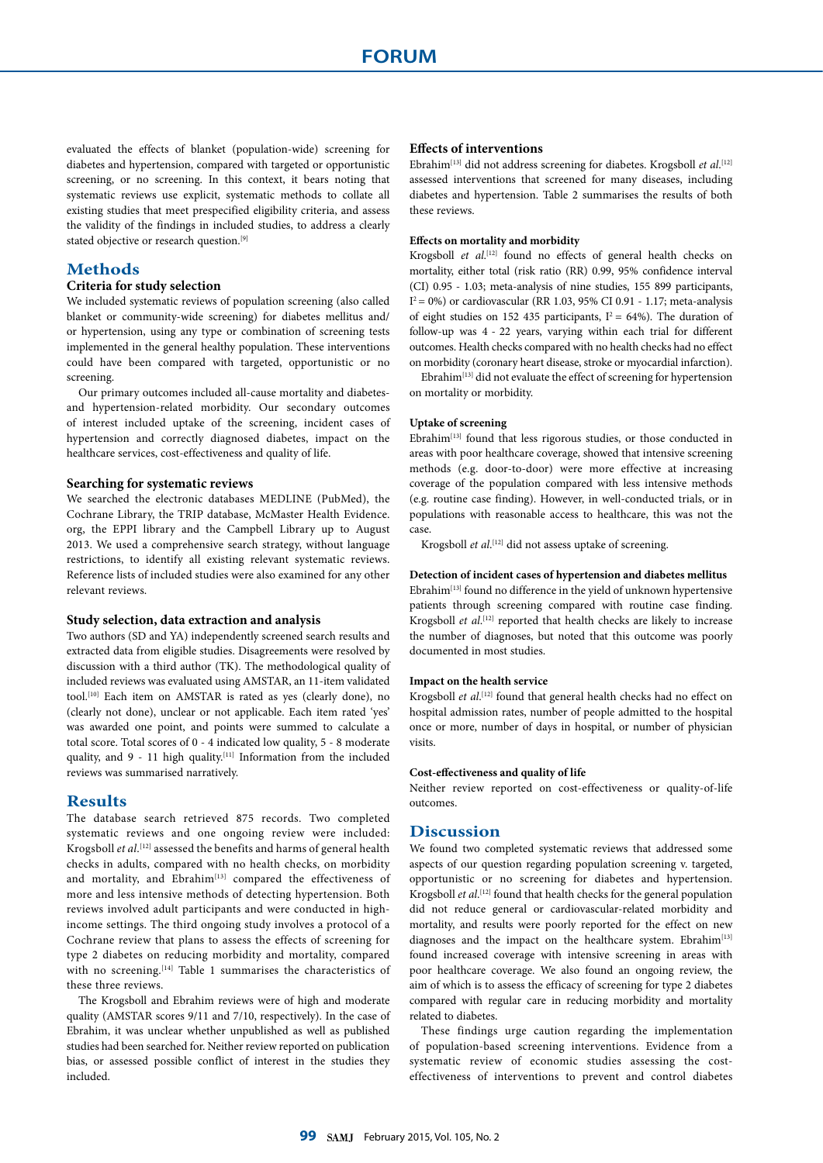evaluated the effects of blanket (population-wide) screening for diabetes and hypertension, compared with targeted or opportunistic screening, or no screening. In this context, it bears noting that systematic reviews use explicit, systematic methods to collate all existing studies that meet prespecified eligibility criteria, and assess the validity of the findings in included studies, to address a clearly stated objective or research question.[9]

# **Methods**

# **Criteria for study selection**

We included systematic reviews of population screening (also called blanket or community-wide screening) for diabetes mellitus and/ or hypertension, using any type or combination of screening tests implemented in the general healthy population. These interventions could have been compared with targeted, opportunistic or no screening.

Our primary outcomes included all-cause mortality and diabetesand hypertension-related morbidity. Our secondary outcomes of interest included uptake of the screening, incident cases of hypertension and correctly diagnosed diabetes, impact on the healthcare services, cost-effectiveness and quality of life.

#### **Searching for systematic reviews**

We searched the electronic databases MEDLINE (PubMed), the Cochrane Library, the TRIP database, McMaster Health Evidence. org, the EPPI library and the Campbell Library up to August 2013. We used a comprehensive search strategy, without language restrictions, to identify all existing relevant systematic reviews. Reference lists of included studies were also examined for any other relevant reviews.

## **Study selection, data extraction and analysis**

Two authors (SD and YA) independently screened search results and extracted data from eligible studies. Disagreements were resolved by discussion with a third author (TK). The methodological quality of included reviews was evaluated using AMSTAR, an 11-item validated tool.[10] Each item on AMSTAR is rated as yes (clearly done), no (clearly not done), unclear or not applicable. Each item rated 'yes' was awarded one point, and points were summed to calculate a total score. Total scores of 0 - 4 indicated low quality, 5 - 8 moderate quality, and 9 - 11 high quality.<sup>[11]</sup> Information from the included reviews was summarised narratively.

## **Results**

The database search retrieved 875 records. Two completed systematic reviews and one ongoing review were included: Krogsboll *et al*. [12] assessed the benefits and harms of general health checks in adults, compared with no health checks, on morbidity and mortality, and Ebrahim<sup>[13]</sup> compared the effectiveness of more and less intensive methods of detecting hypertension. Both reviews involved adult participants and were conducted in highincome settings. The third ongoing study involves a protocol of a Cochrane review that plans to assess the effects of screening for type 2 diabetes on reducing morbidity and mortality, compared with no screening.<sup>[14]</sup> Table 1 summarises the characteristics of these three reviews.

The Krogsboll and Ebrahim reviews were of high and moderate quality (AMSTAR scores 9/11 and 7/10, respectively). In the case of Ebrahim, it was unclear whether unpublished as well as published studies had been searched for. Neither review reported on publication bias, or assessed possible conflict of interest in the studies they included.

# **Effects of interventions**

Ebrahim<sup>[13]</sup> did not address screening for diabetes. Krogsboll *et al*.<sup>[12]</sup> assessed interventions that screened for many diseases, including diabetes and hypertension. Table 2 summarises the results of both these reviews.

#### **Effects on mortality and morbidity**

Krogsboll et al.<sup>[12]</sup> found no effects of general health checks on mortality, either total (risk ratio (RR) 0.99, 95% confidence interval (CI) 0.95 - 1.03; meta-analysis of nine studies, 155 899 participants,  $I^2 = 0\%$ ) or cardiovascular (RR 1.03, 95% CI 0.91 - 1.17; meta-analysis of eight studies on 152 435 participants,  $I^2 = 64\%$ ). The duration of follow-up was 4 - 22 years, varying within each trial for different outcomes. Health checks compared with no health checks had no effect on morbidity (coronary heart disease, stroke or myocardial infarction).

Ebrahim<sup>[13]</sup> did not evaluate the effect of screening for hypertension on mortality or morbidity.

#### **Uptake of screening**

Ebrahim<sup>[13]</sup> found that less rigorous studies, or those conducted in areas with poor healthcare coverage, showed that intensive screening methods (e.g. door-to-door) were more effective at increasing coverage of the population compared with less intensive methods (e.g. routine case finding). However, in well-conducted trials, or in populations with reasonable access to healthcare, this was not the case.

Krogsboll *et al*. [12] did not assess uptake of screening.

#### **Detection of incident cases of hypertension and diabetes mellitus**

Ebrahim<sup>[13]</sup> found no difference in the yield of unknown hypertensive patients through screening compared with routine case finding. Krogsboll *et al.*<sup>[12]</sup> reported that health checks are likely to increase the number of diagnoses, but noted that this outcome was poorly documented in most studies.

#### **Impact on the health service**

Krogsboll *et al.*<sup>[12]</sup> found that general health checks had no effect on hospital admission rates, number of people admitted to the hospital once or more, number of days in hospital, or number of physician visits.

#### **Cost-effectiveness and quality of life**

Neither review reported on cost-effectiveness or quality-of-life outcomes.

## **Discussion**

We found two completed systematic reviews that addressed some aspects of our question regarding population screening v. targeted, opportunistic or no screening for diabetes and hypertension. Krogsboll *et al*. [12] found that health checks for the general population did not reduce general or cardiovascular-related morbidity and mortality, and results were poorly reported for the effect on new diagnoses and the impact on the healthcare system. Ebrahim<sup>[13]</sup> found increased coverage with intensive screening in areas with poor healthcare coverage. We also found an ongoing review, the aim of which is to assess the efficacy of screening for type 2 diabetes compared with regular care in reducing morbidity and mortality related to diabetes.

These findings urge caution regarding the implementation of population-based screening interventions. Evidence from a systematic review of economic studies assessing the costeffectiveness of interventions to prevent and control diabetes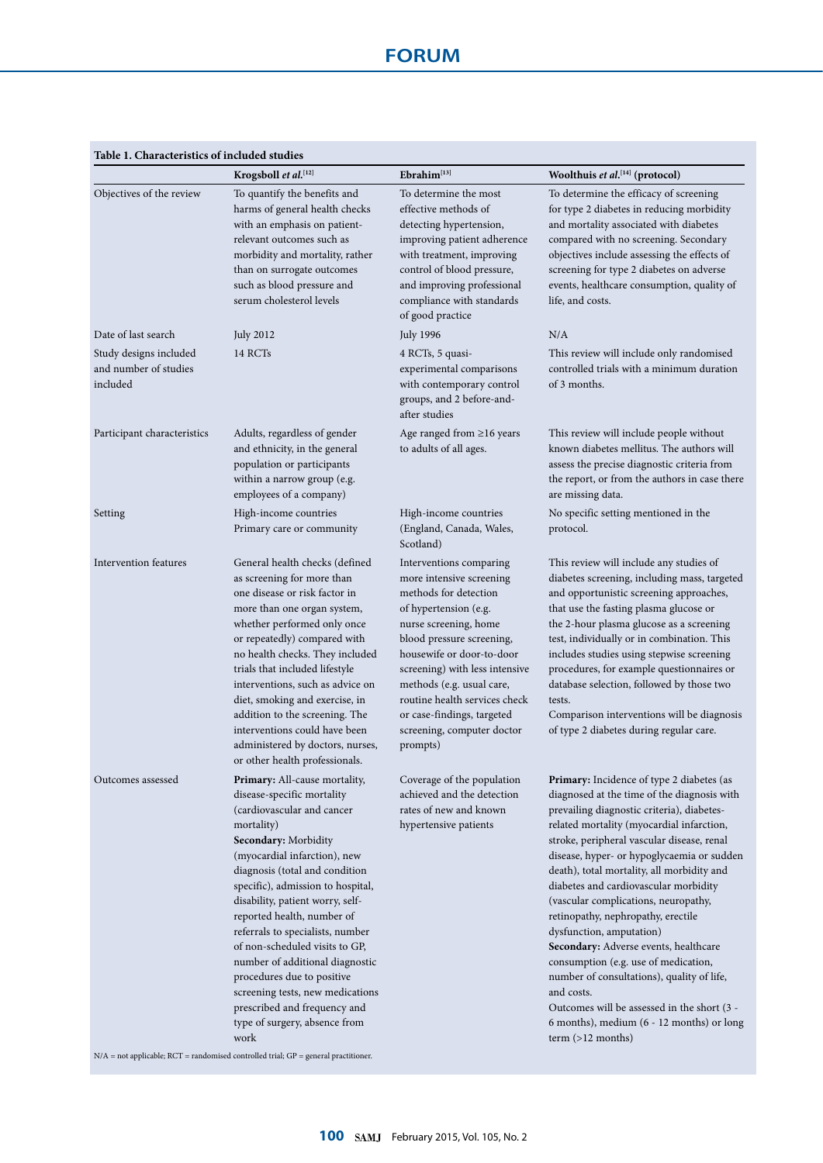# **Table 1. Characteristics of included studies**

|                                                             | Krogsboll et al.[12]                                                                                                                                                                                                                                                                                                                                                                                                                                                                                                                                                                                                                                | Ebrahim <sup>[13]</sup>                                                                                                                                                                                                                                                                                                                                          | Woolthuis et al.[14] (protocol)                                                                                                                                                                                                                                                                                                                                                                                                                                                                                                                                                                                                                                                                                                                  |
|-------------------------------------------------------------|-----------------------------------------------------------------------------------------------------------------------------------------------------------------------------------------------------------------------------------------------------------------------------------------------------------------------------------------------------------------------------------------------------------------------------------------------------------------------------------------------------------------------------------------------------------------------------------------------------------------------------------------------------|------------------------------------------------------------------------------------------------------------------------------------------------------------------------------------------------------------------------------------------------------------------------------------------------------------------------------------------------------------------|--------------------------------------------------------------------------------------------------------------------------------------------------------------------------------------------------------------------------------------------------------------------------------------------------------------------------------------------------------------------------------------------------------------------------------------------------------------------------------------------------------------------------------------------------------------------------------------------------------------------------------------------------------------------------------------------------------------------------------------------------|
| Objectives of the review                                    | To quantify the benefits and<br>harms of general health checks<br>with an emphasis on patient-<br>relevant outcomes such as<br>morbidity and mortality, rather<br>than on surrogate outcomes<br>such as blood pressure and<br>serum cholesterol levels                                                                                                                                                                                                                                                                                                                                                                                              | To determine the most<br>effective methods of<br>detecting hypertension,<br>improving patient adherence<br>with treatment, improving<br>control of blood pressure,<br>and improving professional<br>compliance with standards<br>of good practice                                                                                                                | To determine the efficacy of screening<br>for type 2 diabetes in reducing morbidity<br>and mortality associated with diabetes<br>compared with no screening. Secondary<br>objectives include assessing the effects of<br>screening for type 2 diabetes on adverse<br>events, healthcare consumption, quality of<br>life, and costs.                                                                                                                                                                                                                                                                                                                                                                                                              |
| Date of last search                                         | <b>July 2012</b>                                                                                                                                                                                                                                                                                                                                                                                                                                                                                                                                                                                                                                    | July 1996                                                                                                                                                                                                                                                                                                                                                        | N/A                                                                                                                                                                                                                                                                                                                                                                                                                                                                                                                                                                                                                                                                                                                                              |
| Study designs included<br>and number of studies<br>included | 14 RCTs                                                                                                                                                                                                                                                                                                                                                                                                                                                                                                                                                                                                                                             | 4 RCTs, 5 quasi-<br>experimental comparisons<br>with contemporary control<br>groups, and 2 before-and-<br>after studies                                                                                                                                                                                                                                          | This review will include only randomised<br>controlled trials with a minimum duration<br>of 3 months.                                                                                                                                                                                                                                                                                                                                                                                                                                                                                                                                                                                                                                            |
| Participant characteristics                                 | Adults, regardless of gender<br>and ethnicity, in the general<br>population or participants<br>within a narrow group (e.g.<br>employees of a company)                                                                                                                                                                                                                                                                                                                                                                                                                                                                                               | Age ranged from $\geq 16$ years<br>to adults of all ages.                                                                                                                                                                                                                                                                                                        | This review will include people without<br>known diabetes mellitus. The authors will<br>assess the precise diagnostic criteria from<br>the report, or from the authors in case there<br>are missing data.                                                                                                                                                                                                                                                                                                                                                                                                                                                                                                                                        |
| Setting                                                     | High-income countries<br>Primary care or community                                                                                                                                                                                                                                                                                                                                                                                                                                                                                                                                                                                                  | High-income countries<br>(England, Canada, Wales,<br>Scotland)                                                                                                                                                                                                                                                                                                   | No specific setting mentioned in the<br>protocol.                                                                                                                                                                                                                                                                                                                                                                                                                                                                                                                                                                                                                                                                                                |
| Intervention features                                       | General health checks (defined<br>as screening for more than<br>one disease or risk factor in<br>more than one organ system,<br>whether performed only once<br>or repeatedly) compared with<br>no health checks. They included<br>trials that included lifestyle<br>interventions, such as advice on<br>diet, smoking and exercise, in<br>addition to the screening. The<br>interventions could have been<br>administered by doctors, nurses,<br>or other health professionals.                                                                                                                                                                     | Interventions comparing<br>more intensive screening<br>methods for detection<br>of hypertension (e.g.<br>nurse screening, home<br>blood pressure screening,<br>housewife or door-to-door<br>screening) with less intensive<br>methods (e.g. usual care,<br>routine health services check<br>or case-findings, targeted<br>screening, computer doctor<br>prompts) | This review will include any studies of<br>diabetes screening, including mass, targeted<br>and opportunistic screening approaches,<br>that use the fasting plasma glucose or<br>the 2-hour plasma glucose as a screening<br>test, individually or in combination. This<br>includes studies using stepwise screening<br>procedures, for example questionnaires or<br>database selection, followed by those two<br>tests.<br>Comparison interventions will be diagnosis<br>of type 2 diabetes during regular care.                                                                                                                                                                                                                                 |
| Outcomes assessed                                           | Primary: All-cause mortality,<br>disease-specific mortality<br>(cardiovascular and cancer<br>mortality)<br>Secondary: Morbidity<br>(myocardial infarction), new<br>diagnosis (total and condition<br>specific), admission to hospital,<br>disability, patient worry, self-<br>reported health, number of<br>referrals to specialists, number<br>of non-scheduled visits to GP,<br>number of additional diagnostic<br>procedures due to positive<br>screening tests, new medications<br>prescribed and frequency and<br>type of surgery, absence from<br>work<br>N/A = not applicable; RCT = randomised controlled trial; GP = general practitioner. | Coverage of the population<br>achieved and the detection<br>rates of new and known<br>hypertensive patients                                                                                                                                                                                                                                                      | Primary: Incidence of type 2 diabetes (as<br>diagnosed at the time of the diagnosis with<br>prevailing diagnostic criteria), diabetes-<br>related mortality (myocardial infarction,<br>stroke, peripheral vascular disease, renal<br>disease, hyper- or hypoglycaemia or sudden<br>death), total mortality, all morbidity and<br>diabetes and cardiovascular morbidity<br>(vascular complications, neuropathy,<br>retinopathy, nephropathy, erectile<br>dysfunction, amputation)<br>Secondary: Adverse events, healthcare<br>consumption (e.g. use of medication,<br>number of consultations), quality of life,<br>and costs.<br>Outcomes will be assessed in the short (3 -<br>6 months), medium (6 - 12 months) or long<br>$term (>12$ months) |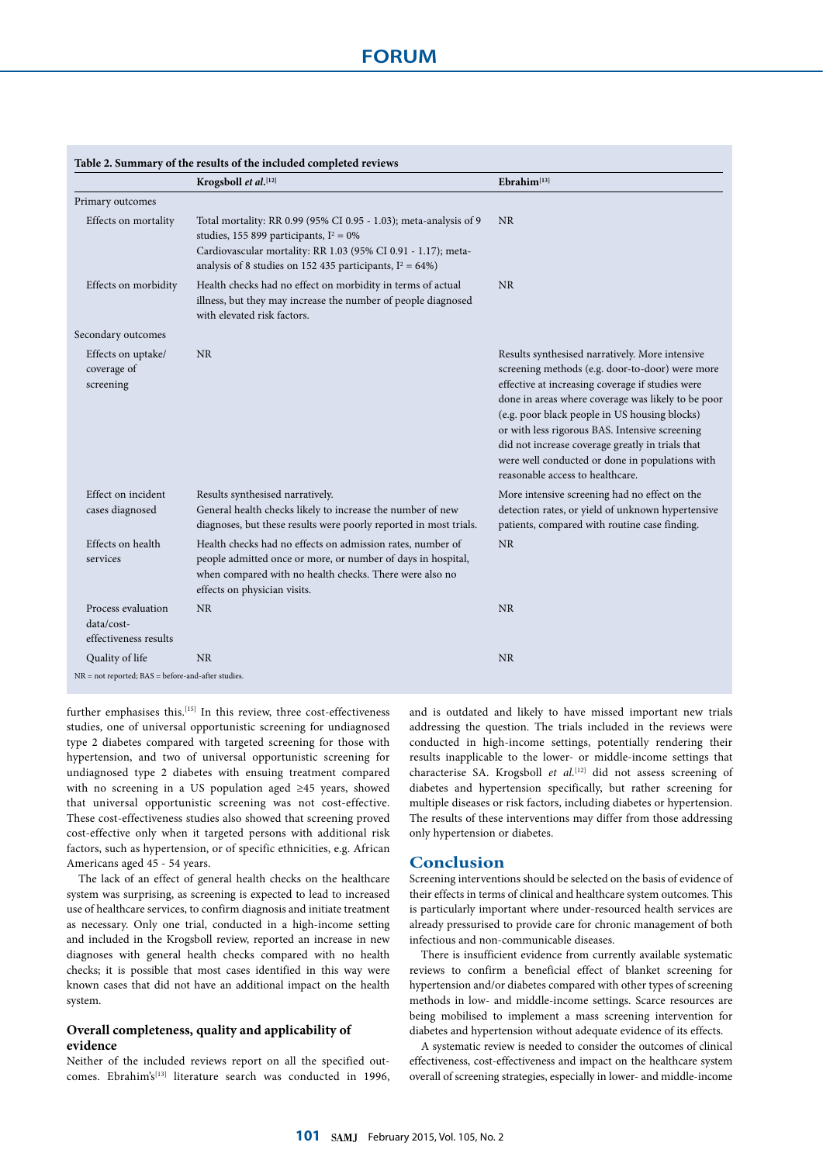|                                                           | Krogsboll et al.[12]                                                                                                                                                                                                                             | Ebrahim <sup>[13]</sup>                                                                                                                                                                                                                                                                                                                                                                                                                                    |
|-----------------------------------------------------------|--------------------------------------------------------------------------------------------------------------------------------------------------------------------------------------------------------------------------------------------------|------------------------------------------------------------------------------------------------------------------------------------------------------------------------------------------------------------------------------------------------------------------------------------------------------------------------------------------------------------------------------------------------------------------------------------------------------------|
| Primary outcomes                                          |                                                                                                                                                                                                                                                  |                                                                                                                                                                                                                                                                                                                                                                                                                                                            |
| Effects on mortality                                      | Total mortality: RR 0.99 (95% CI 0.95 - 1.03); meta-analysis of 9<br>studies, 155 899 participants, $I^2 = 0\%$<br>Cardiovascular mortality: RR 1.03 (95% CI 0.91 - 1.17); meta-<br>analysis of 8 studies on 152 435 participants, $I^2 = 64\%)$ | <b>NR</b>                                                                                                                                                                                                                                                                                                                                                                                                                                                  |
| Effects on morbidity                                      | Health checks had no effect on morbidity in terms of actual<br>illness, but they may increase the number of people diagnosed<br>with elevated risk factors.                                                                                      | <b>NR</b>                                                                                                                                                                                                                                                                                                                                                                                                                                                  |
| Secondary outcomes                                        |                                                                                                                                                                                                                                                  |                                                                                                                                                                                                                                                                                                                                                                                                                                                            |
| Effects on uptake/<br>coverage of<br>screening            | <b>NR</b>                                                                                                                                                                                                                                        | Results synthesised narratively. More intensive<br>screening methods (e.g. door-to-door) were more<br>effective at increasing coverage if studies were<br>done in areas where coverage was likely to be poor<br>(e.g. poor black people in US housing blocks)<br>or with less rigorous BAS. Intensive screening<br>did not increase coverage greatly in trials that<br>were well conducted or done in populations with<br>reasonable access to healthcare. |
| Effect on incident<br>cases diagnosed                     | Results synthesised narratively.<br>General health checks likely to increase the number of new<br>diagnoses, but these results were poorly reported in most trials.                                                                              | More intensive screening had no effect on the<br>detection rates, or yield of unknown hypertensive<br>patients, compared with routine case finding.                                                                                                                                                                                                                                                                                                        |
| Effects on health<br>services                             | Health checks had no effects on admission rates, number of<br>people admitted once or more, or number of days in hospital,<br>when compared with no health checks. There were also no<br>effects on physician visits.                            | <b>NR</b>                                                                                                                                                                                                                                                                                                                                                                                                                                                  |
| Process evaluation<br>data/cost-<br>effectiveness results | <b>NR</b>                                                                                                                                                                                                                                        | <b>NR</b>                                                                                                                                                                                                                                                                                                                                                                                                                                                  |
| Quality of life                                           | NR.                                                                                                                                                                                                                                              | <b>NR</b>                                                                                                                                                                                                                                                                                                                                                                                                                                                  |
| $NR = not reported; BAS = before-and-after studies.$      |                                                                                                                                                                                                                                                  |                                                                                                                                                                                                                                                                                                                                                                                                                                                            |

further emphasises this.<sup>[15]</sup> In this review, three cost-effectiveness studies, one of universal opportunistic screening for undiagnosed type 2 diabetes compared with targeted screening for those with hypertension, and two of universal opportunistic screening for undiagnosed type 2 diabetes with ensuing treatment compared with no screening in a US population aged ≥45 years, showed that universal opportunistic screening was not cost-effective. These cost-effectiveness studies also showed that screening proved cost-effective only when it targeted persons with additional risk factors, such as hypertension, or of specific ethnicities, e.g. African Americans aged 45 - 54 years.

The lack of an effect of general health checks on the healthcare system was surprising, as screening is expected to lead to increased use of healthcare services, to confirm diagnosis and initiate treatment as necessary. Only one trial, conducted in a high-income setting and included in the Krogsboll review, reported an increase in new diagnoses with general health checks compared with no health checks; it is possible that most cases identified in this way were known cases that did not have an additional impact on the health system.

# **Overall completeness, quality and applicability of evidence**

Neither of the included reviews report on all the specified outcomes. Ebrahim's<sup>[13]</sup> literature search was conducted in 1996, and is outdated and likely to have missed important new trials addressing the question. The trials included in the reviews were conducted in high-income settings, potentially rendering their results inapplicable to the lower- or middle-income settings that characterise SA. Krogsboll et al.<sup>[12]</sup> did not assess screening of diabetes and hypertension specifically, but rather screening for multiple diseases or risk factors, including diabetes or hypertension. The results of these interventions may differ from those addressing only hypertension or diabetes.

# **Conclusion**

Screening interventions should be selected on the basis of evidence of their effects in terms of clinical and healthcare system outcomes. This is particularly important where under-resourced health services are already pressurised to provide care for chronic management of both infectious and non-communicable diseases.

There is insufficient evidence from currently available systematic reviews to confirm a beneficial effect of blanket screening for hypertension and/or diabetes compared with other types of screening methods in low- and middle-income settings. Scarce resources are being mobilised to implement a mass screening intervention for diabetes and hypertension without adequate evidence of its effects.

A systematic review is needed to consider the outcomes of clinical effectiveness, cost-effectiveness and impact on the healthcare system overall of screening strategies, especially in lower- and middle-income